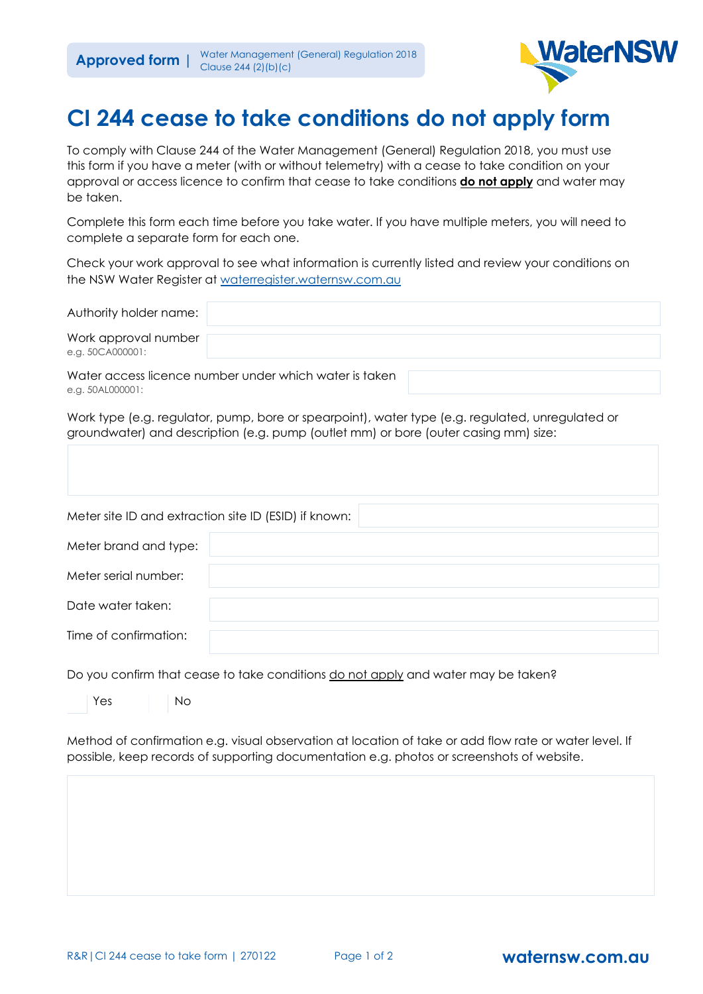

## **CI 244 cease to take conditions do not apply form**

To comply with Clause 244 of the Water Management (General) Regulation 2018, you must use this form if you have a meter (with or without telemetry) with a cease to take condition on your approval or access licence to confirm that cease to take conditions **do not apply** and water may be taken.

Complete this form each time before you take water. If you have multiple meters, you will need to complete a separate form for each one.

Check your work approval to see what information is currently listed and review your conditions on the NSW Water Register at [waterregister.waternsw.com.au](https://comms.waternsw.com.au/link/id/zzzz61678132bdc6d202Pzzzz5f02846d3d9e9428/page.html)

| Authority holder name:                                 |  |  |  |
|--------------------------------------------------------|--|--|--|
| Work approval number<br>e.g. 50CA000001:               |  |  |  |
| Water access licence number under which water is taken |  |  |  |

Water access licence number under which water is taken e.g. 50AL000001:

Work type (e.g. regulator, pump, bore or spearpoint), water type (e.g. regulated, unregulated or groundwater) and description (e.g. pump (outlet mm) or bore (outer casing mm) size:

| Meter site ID and extraction site ID (ESID) if known: |  |
|-------------------------------------------------------|--|
| Meter brand and type:                                 |  |
| Meter serial number:                                  |  |
| Date water taken:                                     |  |
| Time of confirmation:                                 |  |

Do you confirm that cease to take conditions do not apply and water may be taken?

Yes No

Method of confirmation e.g. visual observation at location of take or add flow rate or water level. If possible, keep records of supporting documentation e.g. photos or screenshots of website.